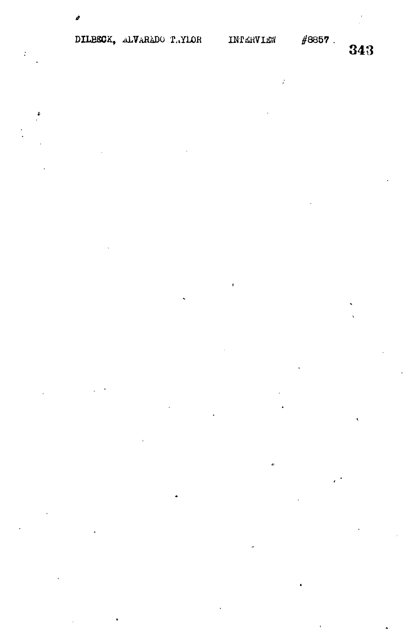Ò

 $\pmb{\phi}$ 

÷,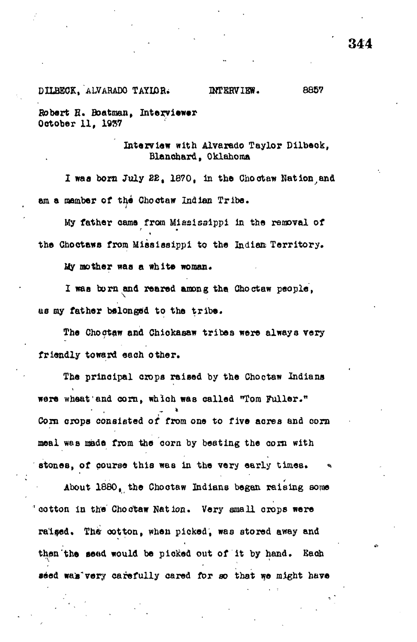## DILBECK, ALVARADO TAYIOR. INTERVIEW. 8857

Robart fi. Boatman, Interviewer October 11, 1937

> Interview with Alvarado Taylor Dilbeok, Blanchard, Oklahoma

I was born July 22, 1870, in the Choctaw Nation and am a member of the Choctaw Indian Tribe .

My father came from Mississippi in the removal of the Choctaws from Mississippi to the Indian Territory.

the Choctews from Mississippi to the Indian Territory\*

My mother was a white was a white woman  $\mathcal{M}^{\mathcal{M}}$ 

friendly toward each other.

I waa bom and reared among the Choetaw people, we can consider a set of  $\mathcal{N}$ 

as my father belonged to the tribe. The Choetaw and Chiokasaw tribes were always very

The principal crops raised by the Choetaw Indians  $\mathcal{L}_\text{max}$ were when  $\mathcal{C}^{\mathcal{A}}$  and corn, where  $\mathcal{A}^{\mathcal{A}}$  and  $\mathcal{A}^{\mathcal{A}}$  and  $\mathcal{A}^{\mathcal{A}}$  and  $\mathcal{A}^{\mathcal{A}}$ Corn crops consisted of from one to five acres and corn meal was made from the corn by besting the corn with meal was made from the corn by beating the corn by beating the corn with the corn with the corn with the corn w<br>The corn with the corn with the corn with the corn with the corn with the corn with the corn with the corn wit

stones, of course the very early times. The very early timestate  $\mathcal{L}_{\mathcal{A}}$ About 1880, the Chootaw Indians began raising sorae 'cotton in the Choetaw Nation. Very small crops were raised. The cotton, when picked, was stored away and raised\* Th6 cotton, when picked, was stored away and then the second behavior  $\mathcal{L}_\mathcal{D}$  would be picked out of it by hand. Each  $\mathcal{L}_\mathcal{D}$ seed was very carefully cared for so that we might have

seed waifvery carefully carefully carefully carefully carefully carefully carefully carefully carefully carefully carefully carefully carefully carefully carefully carefully carefully carefully carefully carefully careful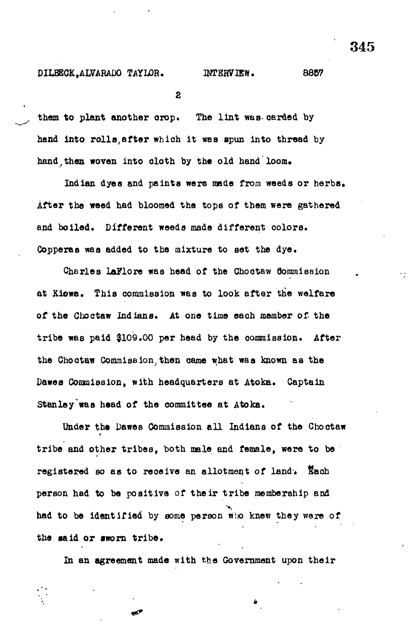**2**

them to plant another crop. The lint was-carded by hand into rolls, after which it was spun into thread by **hand,then woven into cloth by the old hand loom.**

**Indian dyes and paints were made from weeds or herbs. After the weed had bloomed the tops of them were gathered** and boiled. Different weeds made different colors. Copperas was added to the mixture to set the dye.

Charles laFlore was head of the Chootaw Commission at Kiowa. This commission was to look after the welfare of the Choctaw Indians. At one time each member of the tribe was paid \$109.00 per head by the commission. After the Chootaw Commission, then came what was known as the Dawes Commission, with headquarters at Atoka. Captain Stanley was head of the committee at Atoka.

Under the Dawes Commission all Indians of the Choctaw tribe and other tribes, both male and female, were to be registered so as to receive an allotment of land. Each person had to be positive of their tribe membership and had to be identified by some person who knew they were of the said or sworn tribe.

**In an agreement made with the Government upon their**